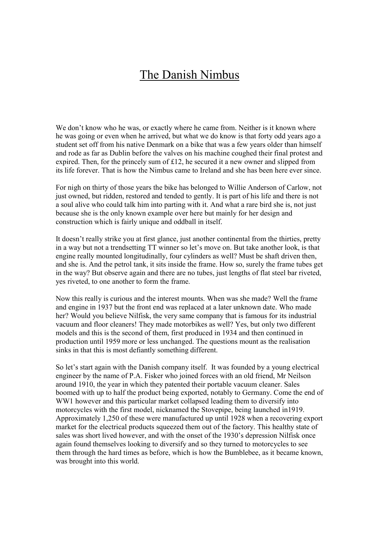## The Danish Nimbus

We don't know who he was, or exactly where he came from. Neither is it known where he was going or even when he arrived, but what we do know is that forty odd years ago a student set off from his native Denmark on a bike that was a few years older than himself and rode as far as Dublin before the valves on his machine coughed their final protest and expired. Then, for the princely sum of £12, he secured it a new owner and slipped from its life forever. That is how the Nimbus came to Ireland and she has been here ever since.

For nigh on thirty of those years the bike has belonged to Willie Anderson of Carlow, not just owned, but ridden, restored and tended to gently. It is part of his life and there is not a soul alive who could talk him into parting with it. And what a rare bird she is, not just because she is the only known example over here but mainly for her design and construction which is fairly unique and oddball in itself.

It doesn't really strike you at first glance, just another continental from the thirties, pretty in a way but not a trendsetting TT winner so let's move on. But take another look, is that engine really mounted longitudinally, four cylinders as well? Must be shaft driven then, and she is. And the petrol tank, it sits inside the frame. How so, surely the frame tubes get in the way? But observe again and there are no tubes, just lengths of flat steel bar riveted, yes riveted, to one another to form the frame.

Now this really is curious and the interest mounts. When was she made? Well the frame and engine in 1937 but the front end was replaced at a later unknown date. Who made her? Would you believe Nilfisk, the very same company that is famous for its industrial vacuum and floor cleaners! They made motorbikes as well? Yes, but only two different models and this is the second of them, first produced in 1934 and then continued in production until 1959 more or less unchanged. The questions mount as the realisation sinks in that this is most defiantly something different.

So let's start again with the Danish company itself. It was founded by a young electrical engineer by the name of P.A. Fisker who joined forces with an old friend, Mr Neilson around 1910, the year in which they patented their portable vacuum cleaner. Sales boomed with up to half the product being exported, notably to Germany. Come the end of WW1 however and this particular market collapsed leading them to diversify into motorcycles with the first model, nicknamed the Stovepipe, being launched in1919. Approximately 1,250 of these were manufactured up until 1928 when a recovering export market for the electrical products squeezed them out of the factory. This healthy state of sales was short lived however, and with the onset of the 1930's depression Nilfisk once again found themselves looking to diversify and so they turned to motorcycles to see them through the hard times as before, which is how the Bumblebee, as it became known, was brought into this world.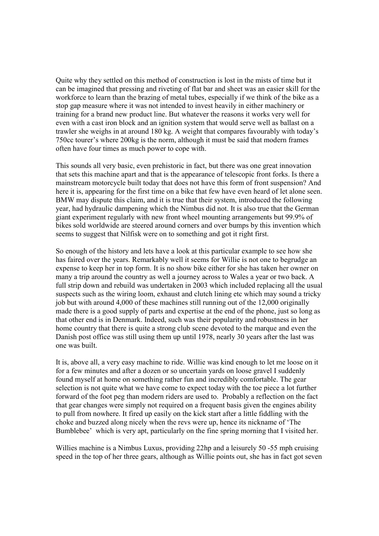Quite why they settled on this method of construction is lost in the mists of time but it can be imagined that pressing and riveting of flat bar and sheet was an easier skill for the workforce to learn than the brazing of metal tubes, especially if we think of the bike as a stop gap measure where it was not intended to invest heavily in either machinery or training for a brand new product line. But whatever the reasons it works very well for even with a cast iron block and an ignition system that would serve well as ballast on a trawler she weighs in at around 180 kg. A weight that compares favourably with today's 750cc tourer's where 200kg is the norm, although it must be said that modern frames often have four times as much power to cope with.

This sounds all very basic, even prehistoric in fact, but there was one great innovation that sets this machine apart and that is the appearance of telescopic front forks. Is there a mainstream motorcycle built today that does not have this form of front suspension? And here it is, appearing for the first time on a bike that few have even heard of let alone seen. BMW may dispute this claim, and it is true that their system, introduced the following year, had hydraulic dampening which the Nimbus did not. It is also true that the German giant experiment regularly with new front wheel mounting arrangements but 99.9% of bikes sold worldwide are steered around corners and over bumps by this invention which seems to suggest that Nilfisk were on to something and got it right first.

So enough of the history and lets have a look at this particular example to see how she has faired over the years. Remarkably well it seems for Willie is not one to begrudge an expense to keep her in top form. It is no show bike either for she has taken her owner on many a trip around the country as well a journey across to Wales a year or two back. A full strip down and rebuild was undertaken in 2003 which included replacing all the usual suspects such as the wiring loom, exhaust and clutch lining etc which may sound a tricky job but with around 4,000 of these machines still running out of the 12,000 originally made there is a good supply of parts and expertise at the end of the phone, just so long as that other end is in Denmark. Indeed, such was their popularity and robustness in her home country that there is quite a strong club scene devoted to the marque and even the Danish post office was still using them up until 1978, nearly 30 years after the last was one was built.

It is, above all, a very easy machine to ride. Willie was kind enough to let me loose on it for a few minutes and after a dozen or so uncertain yards on loose gravel I suddenly found myself at home on something rather fun and incredibly comfortable. The gear selection is not quite what we have come to expect today with the toe piece a lot further forward of the foot peg than modern riders are used to. Probably a reflection on the fact that gear changes were simply not required on a frequent basis given the engines ability to pull from nowhere. It fired up easily on the kick start after a little fiddling with the choke and buzzed along nicely when the revs were up, hence its nickname of 'The Bumblebee' which is very apt, particularly on the fine spring morning that I visited her.

Willies machine is a Nimbus Luxus, providing 22hp and a leisurely 50 -55 mph cruising speed in the top of her three gears, although as Willie points out, she has in fact got seven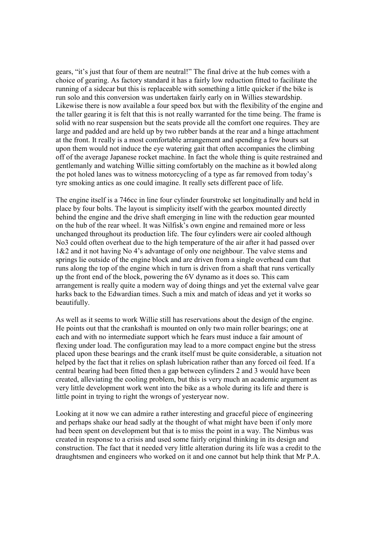gears, "it's just that four of them are neutral!" The final drive at the hub comes with a choice of gearing. As factory standard it has a fairly low reduction fitted to facilitate the running of a sidecar but this is replaceable with something a little quicker if the bike is run solo and this conversion was undertaken fairly early on in Willies stewardship. Likewise there is now available a four speed box but with the flexibility of the engine and the taller gearing it is felt that this is not really warranted for the time being. The frame is solid with no rear suspension but the seats provide all the comfort one requires. They are large and padded and are held up by two rubber bands at the rear and a hinge attachment at the front. It really is a most comfortable arrangement and spending a few hours sat upon them would not induce the eye watering gait that often accompanies the climbing off of the average Japanese rocket machine. In fact the whole thing is quite restrained and gentlemanly and watching Willie sitting comfortably on the machine as it bowled along the pot holed lanes was to witness motorcycling of a type as far removed from today's tyre smoking antics as one could imagine. It really sets different pace of life.

The engine itself is a 746cc in line four cylinder fourstroke set longitudinally and held in place by four bolts. The layout is simplicity itself with the gearbox mounted directly behind the engine and the drive shaft emerging in line with the reduction gear mounted on the hub of the rear wheel. It was Nilfisk's own engine and remained more or less unchanged throughout its production life. The four cylinders were air cooled although No3 could often overheat due to the high temperature of the air after it had passed over 1&2 and it not having No 4's advantage of only one neighbour. The valve stems and springs lie outside of the engine block and are driven from a single overhead cam that runs along the top of the engine which in turn is driven from a shaft that runs vertically up the front end of the block, powering the 6V dynamo as it does so. This cam arrangement is really quite a modern way of doing things and yet the external valve gear harks back to the Edwardian times. Such a mix and match of ideas and yet it works so beautifully.

As well as it seems to work Willie still has reservations about the design of the engine. He points out that the crankshaft is mounted on only two main roller bearings; one at each and with no intermediate support which he fears must induce a fair amount of flexing under load. The configuration may lead to a more compact engine but the stress placed upon these bearings and the crank itself must be quite considerable, a situation not helped by the fact that it relies on splash lubrication rather than any forced oil feed. If a central bearing had been fitted then a gap between cylinders 2 and 3 would have been created, alleviating the cooling problem, but this is very much an academic argument as very little development work went into the bike as a whole during its life and there is little point in trying to right the wrongs of yesteryear now.

Looking at it now we can admire a rather interesting and graceful piece of engineering and perhaps shake our head sadly at the thought of what might have been if only more had been spent on development but that is to miss the point in a way. The Nimbus was created in response to a crisis and used some fairly original thinking in its design and construction. The fact that it needed very little alteration during its life was a credit to the draughtsmen and engineers who worked on it and one cannot but help think that Mr P.A.